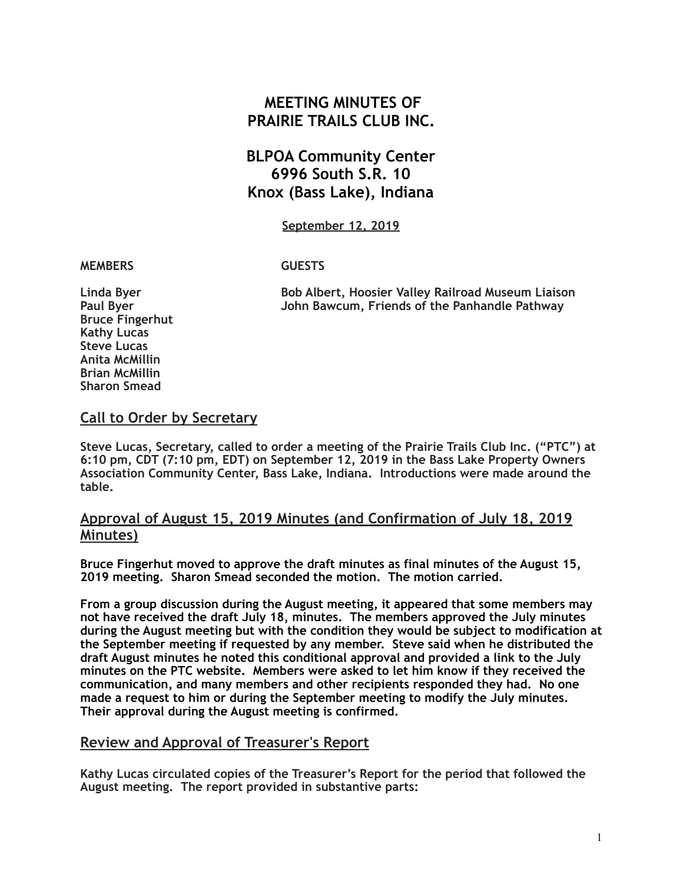# **MEETING MINUTES OF PRAIRIE TRAILS CLUB INC.**

# **BLPOA Community Center 6996 South S.R. 10 Knox (Bass Lake), Indiana**

**September 12, 2019**

#### **MEMBERS GUESTS**

**Linda Byer Bob Albert, Hoosier Valley Railroad Museum Liaison Paul Byer John Bawcum, Friends of the Panhandle Pathway** 

**Bruce Fingerhut Kathy Lucas Steve Lucas Anita McMillin Brian McMillin Sharon Smead** 

### **Call to Order by Secretary**

**Steve Lucas, Secretary, called to order a meeting of the Prairie Trails Club Inc. ("PTC") at 6:10 pm, CDT (7:10 pm, EDT) on September 12, 2019 in the Bass Lake Property Owners Association Community Center, Bass Lake, Indiana. Introductions were made around the table.**

## **Approval of August 15, 2019 Minutes (and Confirmation of July 18, 2019 Minutes)**

**Bruce Fingerhut moved to approve the draft minutes as final minutes of the August 15, 2019 meeting. Sharon Smead seconded the motion. The motion carried.** 

**From a group discussion during the August meeting, it appeared that some members may not have received the draft July 18, minutes. The members approved the July minutes during the August meeting but with the condition they would be subject to modification at the September meeting if requested by any member. Steve said when he distributed the draft August minutes he noted this conditional approval and provided a link to the July minutes on the PTC website. Members were asked to let him know if they received the communication, and many members and other recipients responded they had. No one made a request to him or during the September meeting to modify the July minutes. Their approval during the August meeting is confirmed.** 

#### **Review and Approval of Treasurer's Report**

**Kathy Lucas circulated copies of the Treasurer's Report for the period that followed the August meeting. The report provided in substantive parts:**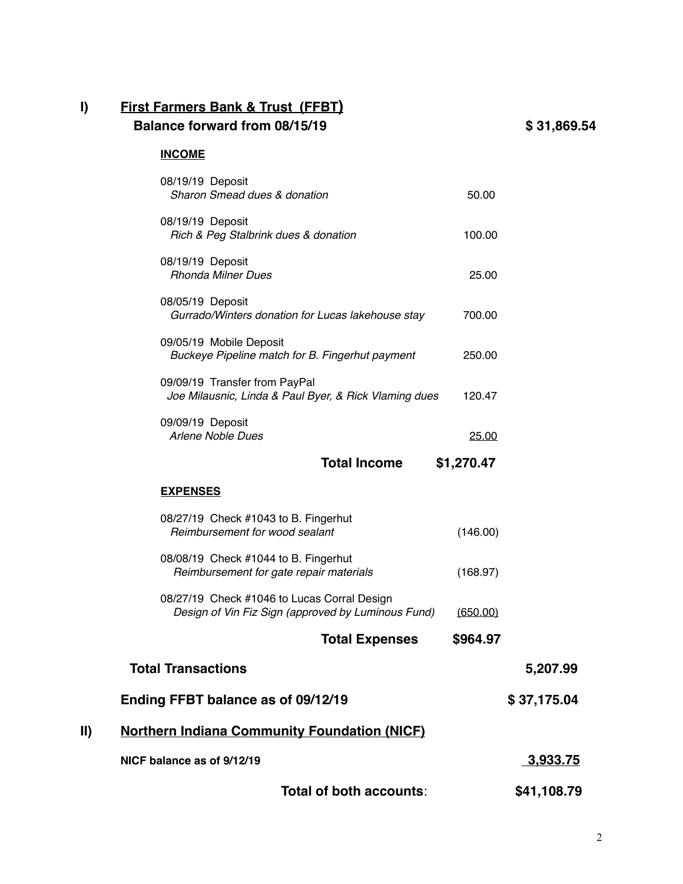# **I) First Farmers Bank & Trust (FFBT) Balance forward from 08/15/19 \$ 31,869.54**

#### **INCOME**

|     | Total of both accounts:                                                                           |            | \$41,108.79     |
|-----|---------------------------------------------------------------------------------------------------|------------|-----------------|
|     | NICF balance as of 9/12/19                                                                        |            | <u>3,933.75</u> |
| II) | <b>Northern Indiana Community Foundation (NICF)</b>                                               |            |                 |
|     | Ending FFBT balance as of 09/12/19                                                                |            | \$37,175.04     |
|     | <b>Total Transactions</b>                                                                         |            | 5.207.99        |
|     | <b>Total Expenses</b>                                                                             | \$964.97   |                 |
|     | 08/27/19 Check #1046 to Lucas Corral Design<br>Design of Vin Fiz Sign (approved by Luminous Fund) | (650.00)   |                 |
|     | 08/08/19 Check #1044 to B. Fingerhut<br>Reimbursement for gate repair materials                   | (168.97)   |                 |
|     | 08/27/19 Check #1043 to B. Fingerhut<br>Reimbursement for wood sealant                            | (146.00)   |                 |
|     | <b>EXPENSES</b>                                                                                   |            |                 |
|     | <b>Total Income</b>                                                                               | \$1,270.47 |                 |
|     | 09/09/19 Deposit<br><b>Arlene Noble Dues</b>                                                      | 25.00      |                 |
|     | 09/09/19 Transfer from PayPal<br>Joe Milausnic, Linda & Paul Byer, & Rick Vlaming dues            | 120.47     |                 |
|     | 09/05/19 Mobile Deposit<br>Buckeye Pipeline match for B. Fingerhut payment                        | 250.00     |                 |
|     | 08/05/19 Deposit<br>Gurrado/Winters donation for Lucas lakehouse stay                             | 700.00     |                 |
|     | 08/19/19 Deposit<br><b>Rhonda Milner Dues</b>                                                     | 25.00      |                 |
|     | 08/19/19 Deposit<br>Rich & Peg Stalbrink dues & donation                                          | 100.00     |                 |
|     | 08/19/19 Deposit<br>Sharon Smead dues & donation                                                  | 50.00      |                 |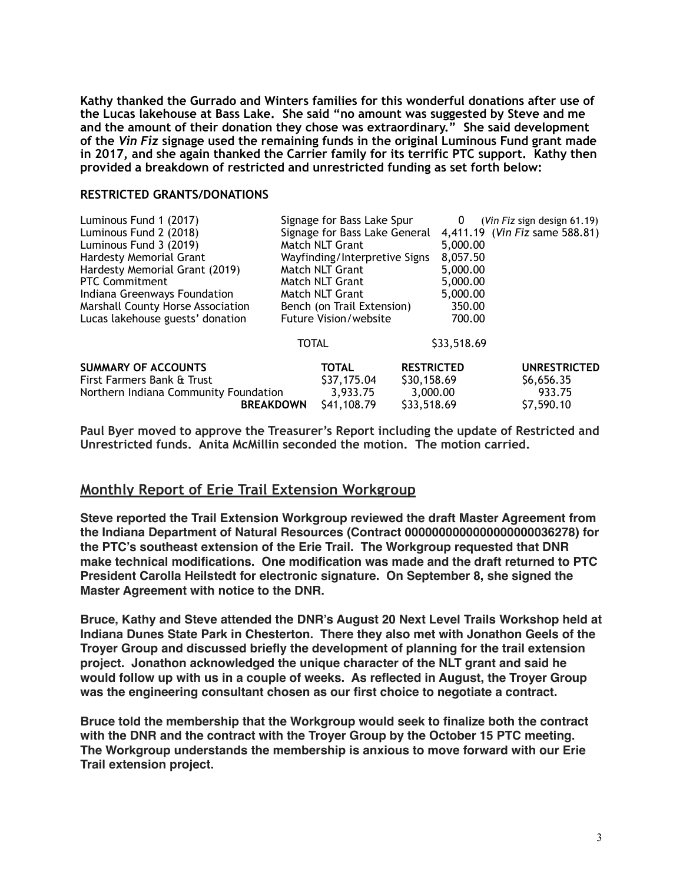**Kathy thanked the Gurrado and Winters families for this wonderful donations after use of the Lucas lakehouse at Bass Lake. She said "no amount was suggested by Steve and me and the amount of their donation they chose was extraordinary." She said development of the** *Vin Fiz* **signage used the remaining funds in the original Luminous Fund grant made in 2017, and she again thanked the Carrier family for its terrific PTC support. Kathy then provided a breakdown of restricted and unrestricted funding as set forth below:** 

#### **RESTRICTED GRANTS/DONATIONS**

| Luminous Fund 1 (2017)                |                            | Signage for Bass Lake Spur    |                   | 0        | $(Vin Fix sign$ design 61.19)  |
|---------------------------------------|----------------------------|-------------------------------|-------------------|----------|--------------------------------|
| Luminous Fund 2 (2018)                |                            | Signage for Bass Lake General |                   |          | 4,411.19 (Vin Fiz same 588.81) |
| Luminous Fund 3 (2019)                |                            | Match NLT Grant               |                   | 5,000.00 |                                |
| <b>Hardesty Memorial Grant</b>        |                            | Wayfinding/Interpretive Signs |                   | 8,057.50 |                                |
| Hardesty Memorial Grant (2019)        |                            | Match NLT Grant               |                   | 5,000.00 |                                |
| <b>PTC Commitment</b>                 |                            | Match NLT Grant               |                   | 5,000.00 |                                |
| Indiana Greenways Foundation          |                            | Match NLT Grant               |                   | 5,000.00 |                                |
| Marshall County Horse Association     | Bench (on Trail Extension) |                               | 350.00            |          |                                |
| Lucas lakehouse guests' donation      |                            | <b>Future Vision/website</b>  |                   |          | 700.00                         |
|                                       | <b>TOTAL</b>               |                               | \$33,518.69       |          |                                |
| <b>SUMMARY OF ACCOUNTS</b>            |                            | <b>TOTAL</b>                  | <b>RESTRICTED</b> |          | <b>UNRESTRICTED</b>            |
| First Farmers Bank & Trust            |                            | \$37,175.04                   | \$30,158.69       |          | \$6,656.35                     |
| Northern Indiana Community Foundation |                            | 3,933.75                      | 3,000.00          |          | 933.75                         |
| <b>BREAKDOWN</b>                      |                            | \$41,108.79                   | \$33,518.69       |          | \$7,590.10                     |

**Paul Byer moved to approve the Treasurer's Report including the update of Restricted and Unrestricted funds. Anita McMillin seconded the motion. The motion carried.** 

#### **Monthly Report of Erie Trail Extension Workgroup**

**Steve reported the Trail Extension Workgroup reviewed the draft Master Agreement from the Indiana Department of Natural Resources (Contract 0000000000000000000036278) for the PTC's southeast extension of the Erie Trail. The Workgroup requested that DNR make technical modifications. One modification was made and the draft returned to PTC President Carolla Heilstedt for electronic signature. On September 8, she signed the Master Agreement with notice to the DNR.** 

**Bruce, Kathy and Steve attended the DNR's August 20 Next Level Trails Workshop held at Indiana Dunes State Park in Chesterton. There they also met with Jonathon Geels of the Troyer Group and discussed briefly the development of planning for the trail extension project. Jonathon acknowledged the unique character of the NLT grant and said he would follow up with us in a couple of weeks. As reflected in August, the Troyer Group was the engineering consultant chosen as our first choice to negotiate a contract.**

**Bruce told the membership that the Workgroup would seek to finalize both the contract with the DNR and the contract with the Troyer Group by the October 15 PTC meeting. The Workgroup understands the membership is anxious to move forward with our Erie Trail extension project.**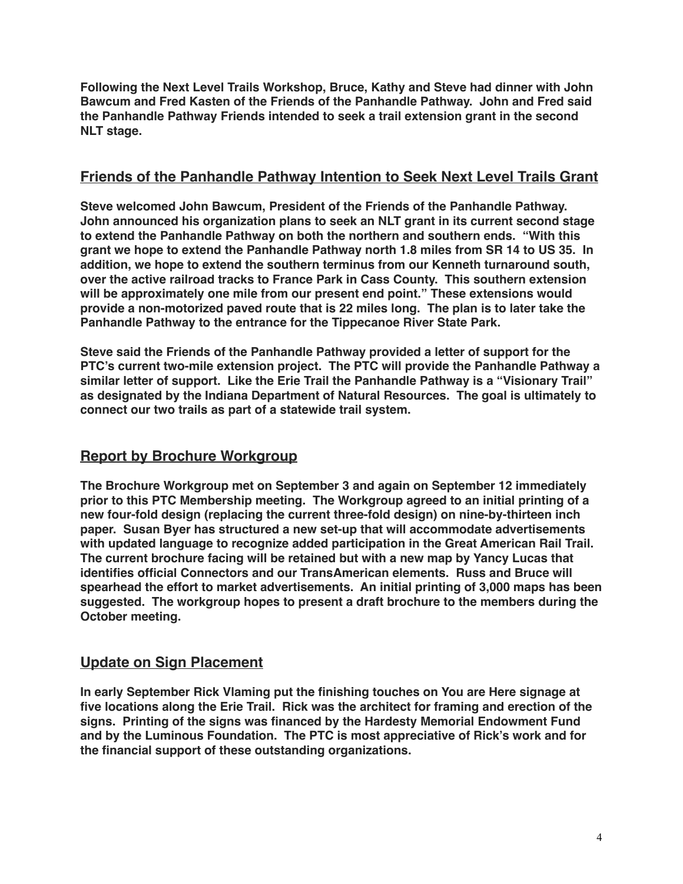**Following the Next Level Trails Workshop, Bruce, Kathy and Steve had dinner with John Bawcum and Fred Kasten of the Friends of the Panhandle Pathway. John and Fred said the Panhandle Pathway Friends intended to seek a trail extension grant in the second NLT stage.**

# **Friends of the Panhandle Pathway Intention to Seek Next Level Trails Grant**

**Steve welcomed John Bawcum, President of the Friends of the Panhandle Pathway. John announced his organization plans to seek an NLT grant in its current second stage to extend the Panhandle Pathway on both the northern and southern ends. "With this grant we hope to extend the Panhandle Pathway north 1.8 miles from SR 14 to US 35. In addition, we hope to extend the southern terminus from our Kenneth turnaround south, over the active railroad tracks to France Park in Cass County. This southern extension will be approximately one mile from our present end point." These extensions would provide a non-motorized paved route that is 22 miles long. The plan is to later take the Panhandle Pathway to the entrance for the Tippecanoe River State Park.**

**Steve said the Friends of the Panhandle Pathway provided a letter of support for the PTC's current two-mile extension project. The PTC will provide the Panhandle Pathway a similar letter of support. Like the Erie Trail the Panhandle Pathway is a "Visionary Trail" as designated by the Indiana Department of Natural Resources. The goal is ultimately to connect our two trails as part of a statewide trail system.**

# **Report by Brochure Workgroup**

**The Brochure Workgroup met on September 3 and again on September 12 immediately prior to this PTC Membership meeting. The Workgroup agreed to an initial printing of a new four-fold design (replacing the current three-fold design) on nine-by-thirteen inch paper. Susan Byer has structured a new set-up that will accommodate advertisements with updated language to recognize added participation in the Great American Rail Trail. The current brochure facing will be retained but with a new map by Yancy Lucas that identifies official Connectors and our TransAmerican elements. Russ and Bruce will spearhead the effort to market advertisements. An initial printing of 3,000 maps has been suggested. The workgroup hopes to present a draft brochure to the members during the October meeting.**

## **Update on Sign Placement**

**In early September Rick Vlaming put the finishing touches on You are Here signage at five locations along the Erie Trail. Rick was the architect for framing and erection of the signs. Printing of the signs was financed by the Hardesty Memorial Endowment Fund and by the Luminous Foundation. The PTC is most appreciative of Rick's work and for the financial support of these outstanding organizations.**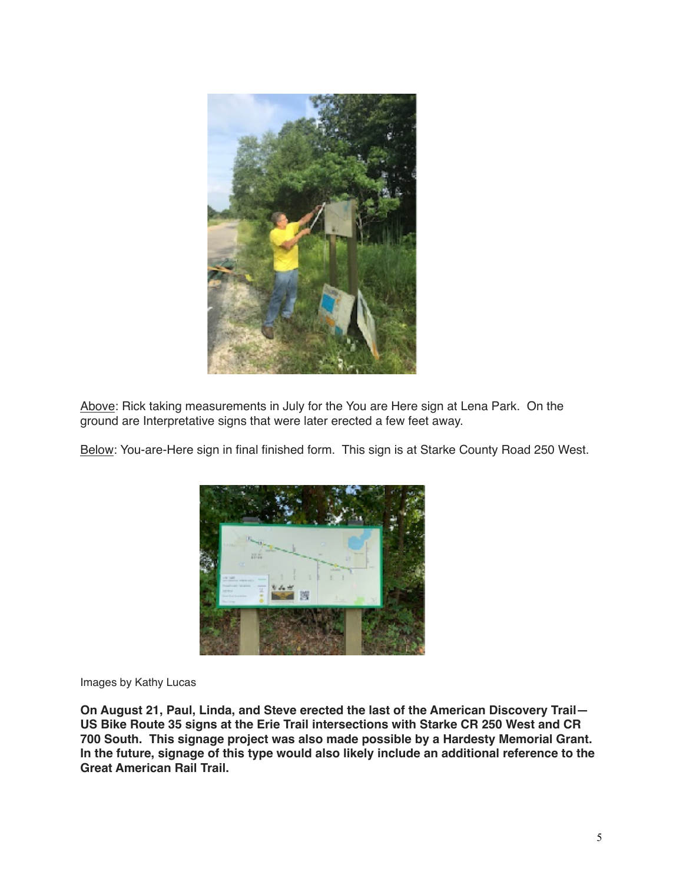

Above: Rick taking measurements in July for the You are Here sign at Lena Park. On the ground are Interpretative signs that were later erected a few feet away.

Below: You-are-Here sign in final finished form. This sign is at Starke County Road 250 West.



Images by Kathy Lucas

**On August 21, Paul, Linda, and Steve erected the last of the American Discovery Trail— US Bike Route 35 signs at the Erie Trail intersections with Starke CR 250 West and CR 700 South. This signage project was also made possible by a Hardesty Memorial Grant. In the future, signage of this type would also likely include an additional reference to the Great American Rail Trail.**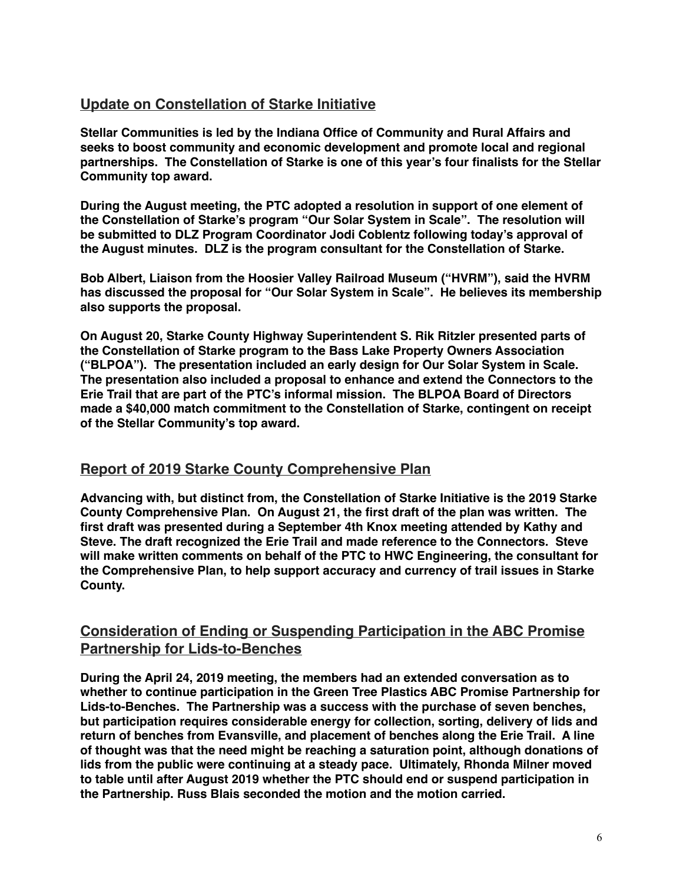# **Update on Constellation of Starke Initiative**

**Stellar Communities is led by the Indiana Office of Community and Rural Affairs and seeks to boost community and economic development and promote local and regional partnerships. The Constellation of Starke is one of this year's four finalists for the Stellar Community top award.** 

**During the August meeting, the PTC adopted a resolution in support of one element of the Constellation of Starke's program "Our Solar System in Scale". The resolution will be submitted to DLZ Program Coordinator Jodi Coblentz following today's approval of the August minutes. DLZ is the program consultant for the Constellation of Starke.**

**Bob Albert, Liaison from the Hoosier Valley Railroad Museum ("HVRM"), said the HVRM has discussed the proposal for "Our Solar System in Scale". He believes its membership also supports the proposal.**

**On August 20, Starke County Highway Superintendent S. Rik Ritzler presented parts of the Constellation of Starke program to the Bass Lake Property Owners Association ("BLPOA"). The presentation included an early design for Our Solar System in Scale. The presentation also included a proposal to enhance and extend the Connectors to the Erie Trail that are part of the PTC's informal mission. The BLPOA Board of Directors made a \$40,000 match commitment to the Constellation of Starke, contingent on receipt of the Stellar Community's top award.**

## **Report of 2019 Starke County Comprehensive Plan**

**Advancing with, but distinct from, the Constellation of Starke Initiative is the 2019 Starke County Comprehensive Plan. On August 21, the first draft of the plan was written. The first draft was presented during a September 4th Knox meeting attended by Kathy and Steve. The draft recognized the Erie Trail and made reference to the Connectors. Steve will make written comments on behalf of the PTC to HWC Engineering, the consultant for the Comprehensive Plan, to help support accuracy and currency of trail issues in Starke County.**

# **Consideration of Ending or Suspending Participation in the ABC Promise Partnership for Lids-to-Benches**

**During the April 24, 2019 meeting, the members had an extended conversation as to whether to continue participation in the Green Tree Plastics ABC Promise Partnership for Lids-to-Benches. The Partnership was a success with the purchase of seven benches, but participation requires considerable energy for collection, sorting, delivery of lids and return of benches from Evansville, and placement of benches along the Erie Trail. A line of thought was that the need might be reaching a saturation point, although donations of lids from the public were continuing at a steady pace. Ultimately, Rhonda Milner moved to table until after August 2019 whether the PTC should end or suspend participation in the Partnership. Russ Blais seconded the motion and the motion carried.**